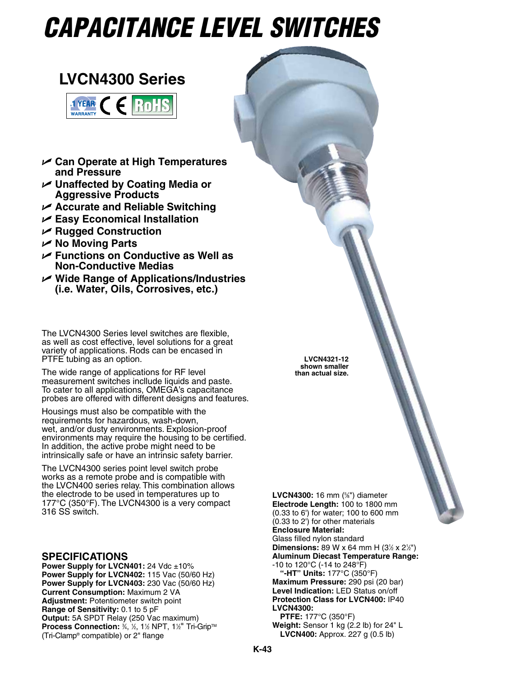# *Capacitance LEVEL SWITCHES*

## **LVCN4300 Series**



- U **Can Operate at High Temperatures and Pressure**
- U **Unaffected by Coating Media or Aggressive Products**
- U **Accurate and Reliable Switching**
- U **Easy Economical Installation**
- U **Rugged Construction**
- U **No Moving Parts**
- U **Functions on Conductive as Well as Non-Conductive Medias**
- U **Wide Range of Applications/Industries (i.e. Water, Oils, Corrosives, etc.)**

The LVCN4300 Series level switches are flexible, as well as cost effective, level solutions for a great variety of applications. Rods can be encased in PTFE tubing as an option.

The wide range of applications for RF level measurement switches incllude liquids and paste. To cater to all applications, OMEGA's capacitance probes are offered with different designs and features.

Housings must also be compatible with the requirements for hazardous, wash-down, wet, and/or dusty environments. Explosion-proof environments may require the housing to be certified. In addition, the active probe might need to be intrinsically safe or have an intrinsic safety barrier.

The LVCN4300 series point level switch probe works as a remote probe and is compatible with the LVCN400 series relay. This combination allows the electrode to be used in temperatures up to 177°C (350°F). The LVCN4300 is a very compact 316 SS switch.

### **Specifications**

**Power Supply for LVCN401: 24 Vdc ±10% Power Supply for LVCN402:** 115 Vac (50/60 Hz) **Power Supply for LVCN403:** 230 Vac (50/60 Hz) **Current Consumption:** Maximum 2 VA **Adjustment:** Potentiometer switch point **Range of Sensitivity:** 0.1 to 5 pF **Output:** 5A SPDT Relay (250 Vac maximum) **Process Connection: 3/4, 1/2, 1 1/2 NPT, 1 1/2" Tri-Grip™** (Tri-Clamp® compatible) or 2" flange

**LVCN4300:** 16 mm (<sup>5</sup>%<sup>"</sup>) diameter **Electrode Length:** 100 to 1800 mm (0.33 to 6') for water; 100 to 600 mm (0.33 to 2') for other materials **Enclosure Material:** Glass filled nylon standard **Dimensions:** 89 W x 64 mm H  $(3\frac{1}{2} \times 2\frac{1}{2})$ **Aluminum Diecast Temperature Range:** -10 to 120°C (-14 to 248°F) **"-HT" Units:** 177°C (350°F) **Maximum Pressure:** 290 psi (20 bar) **Level Indication:** LED Status on/off **Protection Class for LVCN400:** IP40 **LVCN4300: PTFE:** 177°C (350°F) **Weight:** Sensor 1 kg (2.2 lb) for 24" L **LVCN400:** Approx. 227 g (0.5 lb)

**LVCN4321-12 shown smaller than actual size.**